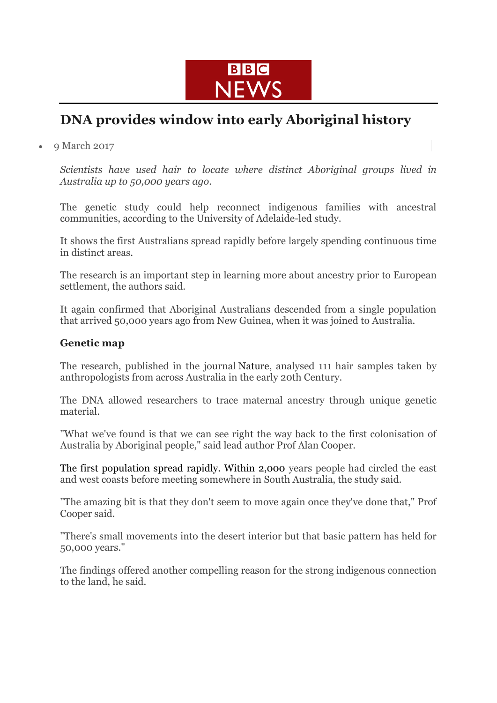

## **DNA provides window into early Aboriginal history**

9 March 2017

*Scientists have used hair to locate where distinct Aboriginal groups lived in Australia up to 50,000 years ago.*

The genetic study could help reconnect indigenous families with ancestral communities, according to the University of Adelaide-led study.

It shows the first Australians spread rapidly before largely spending continuous time in distinct areas.

The research is an important step in learning more about ancestry prior to European settlement, the authors said.

It again confirmed that Aboriginal Australians descended from a single population that arrived 50,000 years ago from New Guinea, when it was joined to Australia.

## **Genetic map**

The research, published in the journal Nature, analysed 111 hair samples taken by anthropologists from across Australia in the early 20th Century.

The DNA allowed researchers to trace maternal ancestry through unique genetic material.

"What we've found is that we can see right the way back to the first colonisation of Australia by Aboriginal people," said lead author Prof Alan Cooper.

The first population spread rapidly. Within 2,000 years people had circled the east and west coasts before meeting somewhere in South Australia, the study said.

"The amazing bit is that they don't seem to move again once they've done that," Prof Cooper said.

"There's small movements into the desert interior but that basic pattern has held for 50,000 years."

The findings offered another compelling reason for the strong indigenous connection to the land, he said.